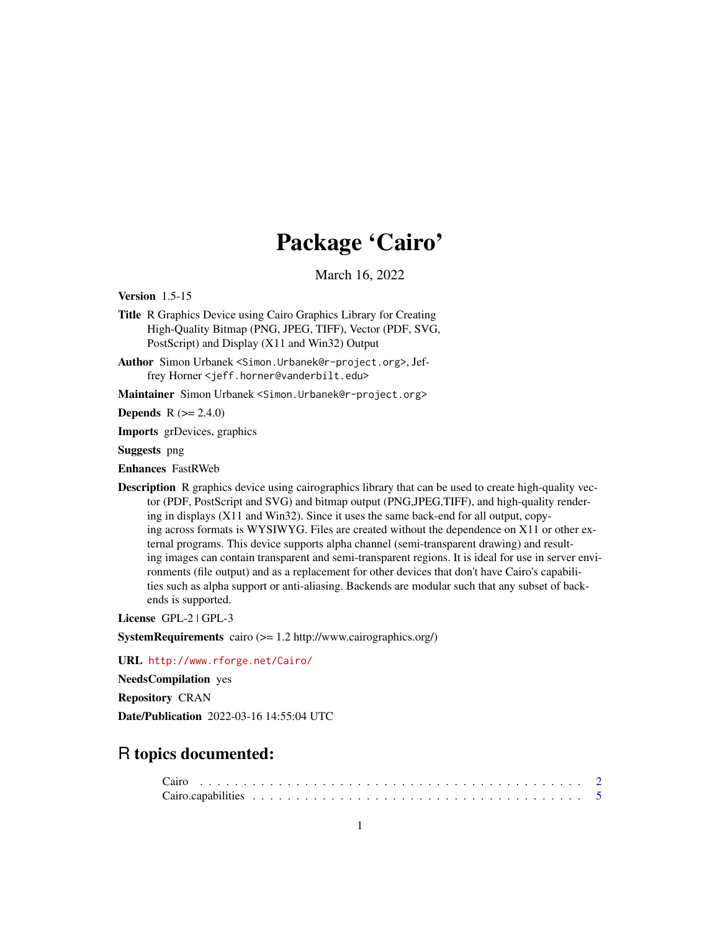## Package 'Cairo'

March 16, 2022

<span id="page-0-0"></span>Version 1.5-15

- Title R Graphics Device using Cairo Graphics Library for Creating High-Quality Bitmap (PNG, JPEG, TIFF), Vector (PDF, SVG, PostScript) and Display (X11 and Win32) Output
- Author Simon Urbanek <Simon.Urbanek@r-project.org>, Jeffrey Horner <jeff.horner@vanderbilt.edu>

Maintainer Simon Urbanek <Simon.Urbanek@r-project.org>

**Depends** R  $(>= 2.4.0)$ 

Imports grDevices, graphics

Suggests png

Enhances FastRWeb

**Description** R graphics device using cairographics library that can be used to create high-quality vector (PDF, PostScript and SVG) and bitmap output (PNG,JPEG,TIFF), and high-quality rendering in displays (X11 and Win32). Since it uses the same back-end for all output, copying across formats is WYSIWYG. Files are created without the dependence on X11 or other external programs. This device supports alpha channel (semi-transparent drawing) and resulting images can contain transparent and semi-transparent regions. It is ideal for use in server environments (file output) and as a replacement for other devices that don't have Cairo's capabilities such as alpha support or anti-aliasing. Backends are modular such that any subset of backends is supported.

License GPL-2 | GPL-3

SystemRequirements cairo (>= 1.2 http://www.cairographics.org/)

URL <http://www.rforge.net/Cairo/>

NeedsCompilation yes

Repository CRAN

Date/Publication 2022-03-16 14:55:04 UTC

### R topics documented: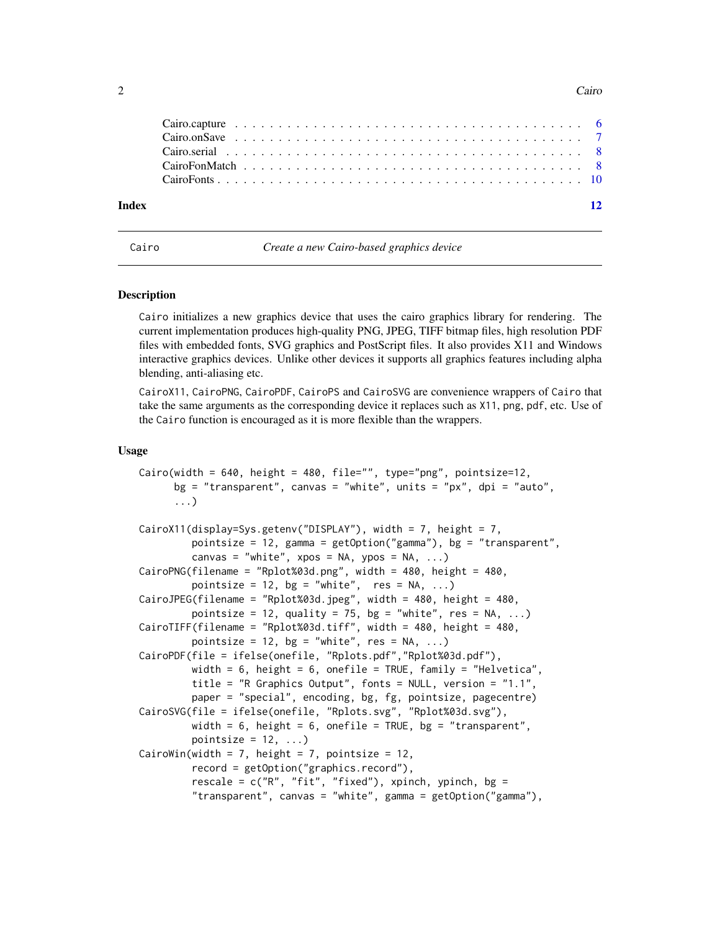#### 2 Cairo and the contract of the contract of the contract of the contract of the contract of the contract of the contract of the contract of the contract of the contract of the contract of the contract of the contract of th

| Index | $\overline{12}$ |
|-------|-----------------|
|       |                 |
|       |                 |
|       |                 |
|       |                 |
|       |                 |

<span id="page-1-1"></span>

Cairo *Create a new Cairo-based graphics device*

#### **Description**

Cairo initializes a new graphics device that uses the cairo graphics library for rendering. The current implementation produces high-quality PNG, JPEG, TIFF bitmap files, high resolution PDF files with embedded fonts, SVG graphics and PostScript files. It also provides X11 and Windows interactive graphics devices. Unlike other devices it supports all graphics features including alpha blending, anti-aliasing etc.

CairoX11, CairoPNG, CairoPDF, CairoPS and CairoSVG are convenience wrappers of Cairo that take the same arguments as the corresponding device it replaces such as X11, png, pdf, etc. Use of the Cairo function is encouraged as it is more flexible than the wrappers.

#### Usage

```
Cairo(width = 640, height = 480, file="", type="png", pointsize=12,
     bg = "transparent", canvas = "white", units = "px", dpi = "auto",
      ...)
CairoX11(display=Sys.getenv("DISPLAY"), width = 7, height = 7,
         pointsize = 12, gamma = getOption("gamma"), bg = "transparent",
         canvas = "white", xpos = NA, ypos = NA, \ldots)
CairoPNG(filename = "Rplot%03d.png", width = 480, height = 480,
         pointsize = 12, bg = "white", res = NA, ...)
CairoJPEG(filename = "Rplot%03d.jpeg", width = 480, height = 480,
         pointsize = 12, quality = 75, bg = "white", res = NA, ...)
CairoTIFF(filename = "Rplot%03d.tiff", width = 480, height = 480,
         pointsize = 12, bg = "white", res = NA, ...)CairoPDF(file = ifelse(onefile, "Rplots.pdf","Rplot%03d.pdf"),
         width = 6, height = 6, onefile = TRUE, family = "Helvetica",
         title = "R Graphics Output", fonts = NULL, version = "1.1",
         paper = "special", encoding, bg, fg, pointsize, pagecentre)
CairoSVG(file = ifelse(onefile, "Rplots.svg", "Rplot%03d.svg"),
         width = 6, height = 6, onefile = TRUE, bg = "transparent",
         pointsize = 12, ...CairoWin(width = 7, height = 7, pointsize = 12,
         record = getOption("graphics.record"),
         rescale = c("R", "fit", "fixed"), xpinch, ypinch, bg ="transparent", canvas = "white", gamma = getOption("gamma"),
```
<span id="page-1-0"></span>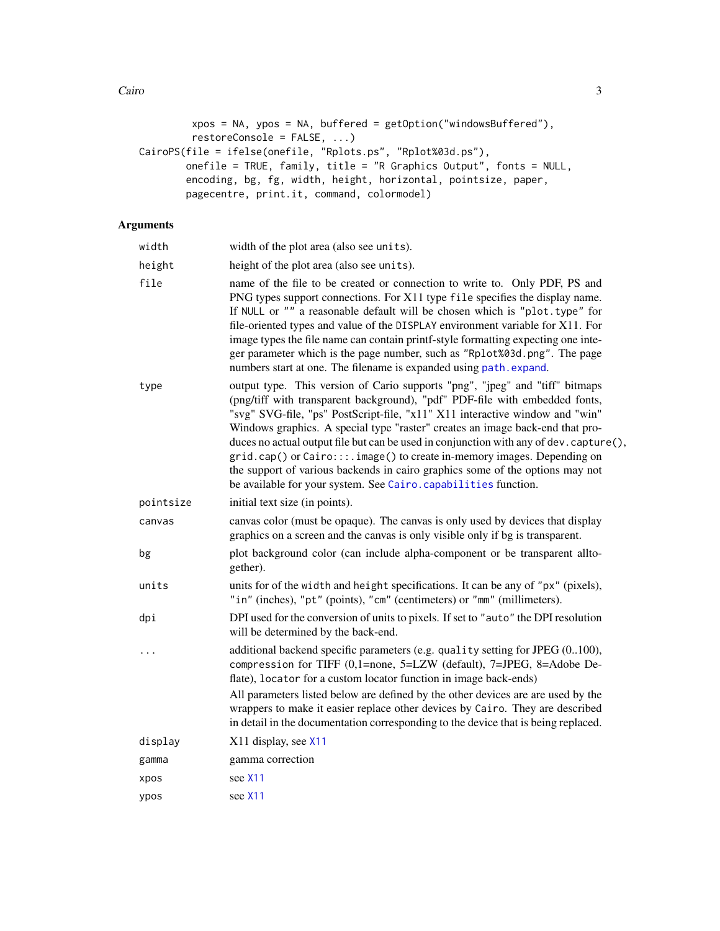<span id="page-2-0"></span>Cairo  $\frac{3}{3}$ 

```
xpos = NA, ypos = NA, buffered = getOption("windowsBuffered"),
        restoreConsole = FALSE, ...)
CairoPS(file = ifelse(onefile, "Rplots.ps", "Rplot%03d.ps"),
       onefile = TRUE, family, title = "R Graphics Output", fonts = NULL,
       encoding, bg, fg, width, height, horizontal, pointsize, paper,
        pagecentre, print.it, command, colormodel)
```
#### Arguments

| width     | width of the plot area (also see units).                                                                                                                                                                                                                                                                                                                                                                                                                                                                                                                                                                                                             |
|-----------|------------------------------------------------------------------------------------------------------------------------------------------------------------------------------------------------------------------------------------------------------------------------------------------------------------------------------------------------------------------------------------------------------------------------------------------------------------------------------------------------------------------------------------------------------------------------------------------------------------------------------------------------------|
| height    | height of the plot area (also see units).                                                                                                                                                                                                                                                                                                                                                                                                                                                                                                                                                                                                            |
| file      | name of the file to be created or connection to write to. Only PDF, PS and<br>PNG types support connections. For X11 type file specifies the display name.<br>If NULL or "" a reasonable default will be chosen which is "plot.type" for<br>file-oriented types and value of the DISPLAY environment variable for X11. For<br>image types the file name can contain printf-style formatting expecting one inte-<br>ger parameter which is the page number, such as "Rplot%03d.png". The page<br>numbers start at one. The filename is expanded using path. expand.                                                                                   |
| type      | output type. This version of Cario supports "png", "jpeg" and "tiff" bitmaps<br>(png/tiff with transparent background), "pdf" PDF-file with embedded fonts,<br>"svg" SVG-file, "ps" PostScript-file, "x11" X11 interactive window and "win"<br>Windows graphics. A special type "raster" creates an image back-end that pro-<br>duces no actual output file but can be used in conjunction with any of dev. capture(),<br>grid.cap() or Cairo:::.image() to create in-memory images. Depending on<br>the support of various backends in cairo graphics some of the options may not<br>be available for your system. See Cairo.capabilities function. |
| pointsize | initial text size (in points).                                                                                                                                                                                                                                                                                                                                                                                                                                                                                                                                                                                                                       |
| canvas    | canvas color (must be opaque). The canvas is only used by devices that display<br>graphics on a screen and the canvas is only visible only if bg is transparent.                                                                                                                                                                                                                                                                                                                                                                                                                                                                                     |
| bg        | plot background color (can include alpha-component or be transparent allto-<br>gether).                                                                                                                                                                                                                                                                                                                                                                                                                                                                                                                                                              |
| units     | units for of the width and height specifications. It can be any of "px" (pixels),<br>"in" (inches), "pt" (points), "cm" (centimeters) or "mm" (millimeters).                                                                                                                                                                                                                                                                                                                                                                                                                                                                                         |
| dpi       | DPI used for the conversion of units to pixels. If set to "auto" the DPI resolution<br>will be determined by the back-end.                                                                                                                                                                                                                                                                                                                                                                                                                                                                                                                           |
|           | additional backend specific parameters (e.g. quality setting for JPEG (0100),<br>compression for TIFF (0,1=none, 5=LZW (default), 7=JPEG, 8=Adobe De-<br>flate), locator for a custom locator function in image back-ends)<br>All parameters listed below are defined by the other devices are are used by the<br>wrappers to make it easier replace other devices by Cairo. They are described<br>in detail in the documentation corresponding to the device that is being replaced.                                                                                                                                                                |
| display   | X11 display, see X11                                                                                                                                                                                                                                                                                                                                                                                                                                                                                                                                                                                                                                 |
| gamma     | gamma correction                                                                                                                                                                                                                                                                                                                                                                                                                                                                                                                                                                                                                                     |
| xpos      | see X <sub>11</sub>                                                                                                                                                                                                                                                                                                                                                                                                                                                                                                                                                                                                                                  |
| ypos      | see X11                                                                                                                                                                                                                                                                                                                                                                                                                                                                                                                                                                                                                                              |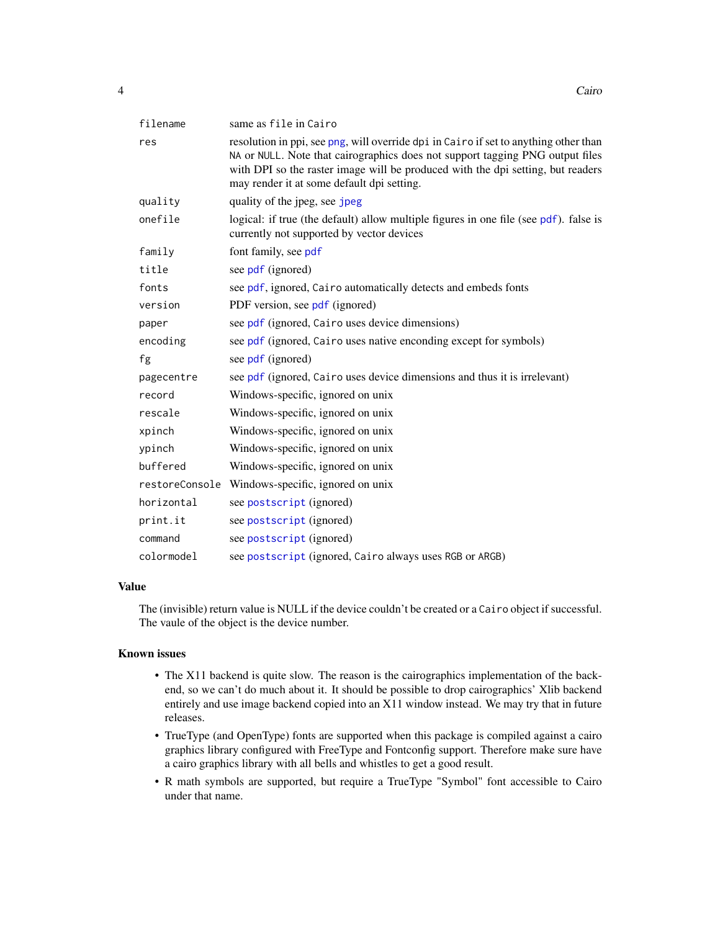<span id="page-3-0"></span>

| filename   | same as file in Cairo                                                                                                                                                                                                                                                                                  |
|------------|--------------------------------------------------------------------------------------------------------------------------------------------------------------------------------------------------------------------------------------------------------------------------------------------------------|
| res        | resolution in ppi, see png, will override dpi in Cairo if set to anything other than<br>NA or NULL. Note that cairographics does not support tagging PNG output files<br>with DPI so the raster image will be produced with the dpi setting, but readers<br>may render it at some default dpi setting. |
| quality    | quality of the jpeg, see jpeg                                                                                                                                                                                                                                                                          |
| onefile    | logical: if true (the default) allow multiple figures in one file (see pdf). false is<br>currently not supported by vector devices                                                                                                                                                                     |
| family     | font family, see pdf                                                                                                                                                                                                                                                                                   |
| title      | see pdf (ignored)                                                                                                                                                                                                                                                                                      |
| fonts      | see pdf, ignored, Cairo automatically detects and embeds fonts                                                                                                                                                                                                                                         |
| version    | PDF version, see pdf (ignored)                                                                                                                                                                                                                                                                         |
| paper      | see pdf (ignored, Cairo uses device dimensions)                                                                                                                                                                                                                                                        |
| encoding   | see pdf (ignored, Cairo uses native enconding except for symbols)                                                                                                                                                                                                                                      |
| fg         | see pdf (ignored)                                                                                                                                                                                                                                                                                      |
| pagecentre | see pdf (ignored, Cairo uses device dimensions and thus it is irrelevant)                                                                                                                                                                                                                              |
| record     | Windows-specific, ignored on unix                                                                                                                                                                                                                                                                      |
| rescale    | Windows-specific, ignored on unix                                                                                                                                                                                                                                                                      |
| xpinch     | Windows-specific, ignored on unix                                                                                                                                                                                                                                                                      |
| ypinch     | Windows-specific, ignored on unix                                                                                                                                                                                                                                                                      |
| buffered   | Windows-specific, ignored on unix                                                                                                                                                                                                                                                                      |
|            | restoreConsole Windows-specific, ignored on unix                                                                                                                                                                                                                                                       |
| horizontal | see postscript (ignored)                                                                                                                                                                                                                                                                               |
| print.it   | see postscript (ignored)                                                                                                                                                                                                                                                                               |
| command    | see postscript (ignored)                                                                                                                                                                                                                                                                               |
| colormodel | see postscript (ignored, Cairo always uses RGB or ARGB)                                                                                                                                                                                                                                                |

#### Value

The (invisible) return value is NULL if the device couldn't be created or a Cairo object if successful. The vaule of the object is the device number.

#### Known issues

- The X11 backend is quite slow. The reason is the cairographics implementation of the backend, so we can't do much about it. It should be possible to drop cairographics' Xlib backend entirely and use image backend copied into an X11 window instead. We may try that in future releases.
- TrueType (and OpenType) fonts are supported when this package is compiled against a cairo graphics library configured with FreeType and Fontconfig support. Therefore make sure have a cairo graphics library with all bells and whistles to get a good result.
- R math symbols are supported, but require a TrueType "Symbol" font accessible to Cairo under that name.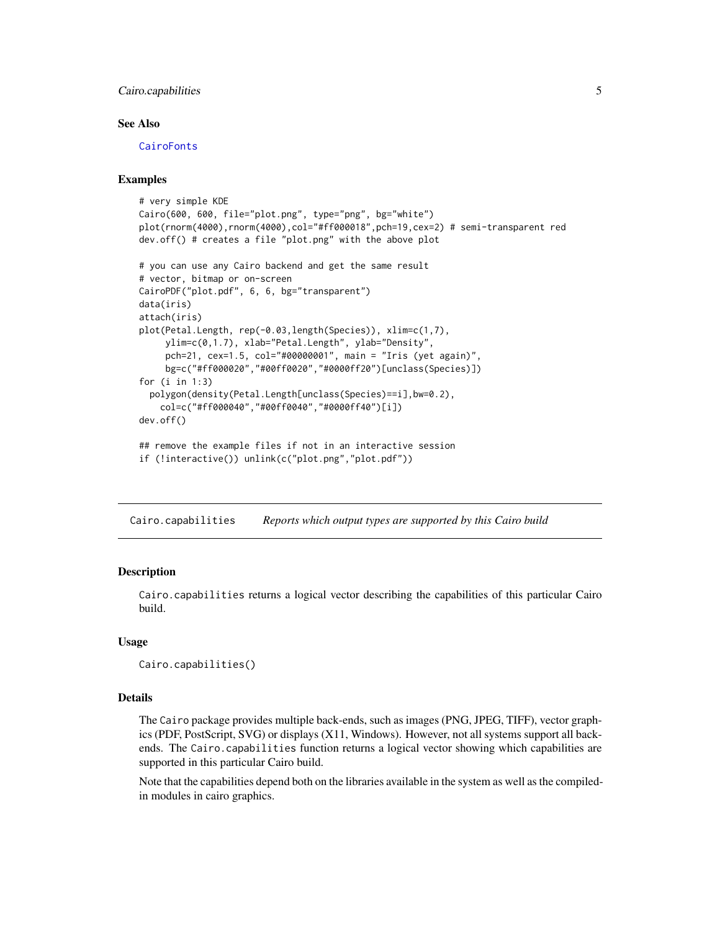#### <span id="page-4-0"></span>Cairo.capabilities 5

#### See Also

[CairoFonts](#page-9-1)

#### Examples

```
# very simple KDE
Cairo(600, 600, file="plot.png", type="png", bg="white")
plot(rnorm(4000),rnorm(4000),col="#ff000018",pch=19,cex=2) # semi-transparent red
dev.off() # creates a file "plot.png" with the above plot
# you can use any Cairo backend and get the same result
# vector, bitmap or on-screen
CairoPDF("plot.pdf", 6, 6, bg="transparent")
data(iris)
attach(iris)
plot(Petal.Length, rep(-0.03,length(Species)), xlim=c(1,7),
     ylim=c(0,1.7), xlab="Petal.Length", ylab="Density",
     pch=21, cex=1.5, col="#00000001", main = "Iris (yet again)",
     bg=c("#ff000020","#00ff0020","#0000ff20")[unclass(Species)])
for (i in 1:3)
 polygon(density(Petal.Length[unclass(Species)==i],bw=0.2),
    col=c("#ff000040","#00ff0040","#0000ff40")[i])
dev.off()
## remove the example files if not in an interactive session
if (!interactive()) unlink(c("plot.png","plot.pdf"))
```
<span id="page-4-1"></span>Cairo.capabilities *Reports which output types are supported by this Cairo build*

#### Description

Cairo.capabilities returns a logical vector describing the capabilities of this particular Cairo build.

#### Usage

Cairo.capabilities()

#### Details

The Cairo package provides multiple back-ends, such as images (PNG, JPEG, TIFF), vector graphics (PDF, PostScript, SVG) or displays (X11, Windows). However, not all systems support all backends. The Cairo.capabilities function returns a logical vector showing which capabilities are supported in this particular Cairo build.

Note that the capabilities depend both on the libraries available in the system as well as the compiledin modules in cairo graphics.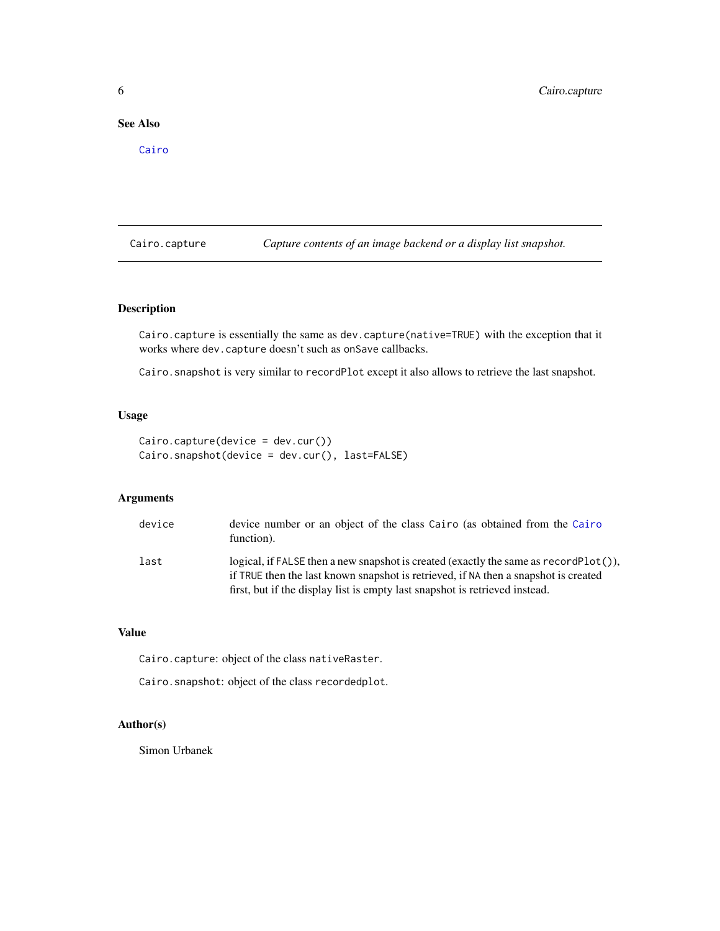#### <span id="page-5-0"></span>See Also

[Cairo](#page-1-1)

Cairo.capture *Capture contents of an image backend or a display list snapshot.*

#### Description

Cairo.capture is essentially the same as dev.capture(native=TRUE) with the exception that it works where dev.capture doesn't such as onSave callbacks.

Cairo.snapshot is very similar to recordPlot except it also allows to retrieve the last snapshot.

#### Usage

```
Cairo.capture(device = dev.cur())
Cairo.snapshot(device = dev.cur(), last=FALSE)
```
#### Arguments

| device | device number or an object of the class Cairo (as obtained from the Cairo<br>function).                                                                                                                                                                     |
|--------|-------------------------------------------------------------------------------------------------------------------------------------------------------------------------------------------------------------------------------------------------------------|
| last   | logical, if FALSE then a new snapshot is created (exactly the same as record Plot()),<br>if TRUE then the last known snapshot is retrieved, if NA then a snapshot is created<br>first, but if the display list is empty last snapshot is retrieved instead. |

#### Value

Cairo.capture: object of the class nativeRaster.

Cairo.snapshot: object of the class recordedplot.

#### Author(s)

Simon Urbanek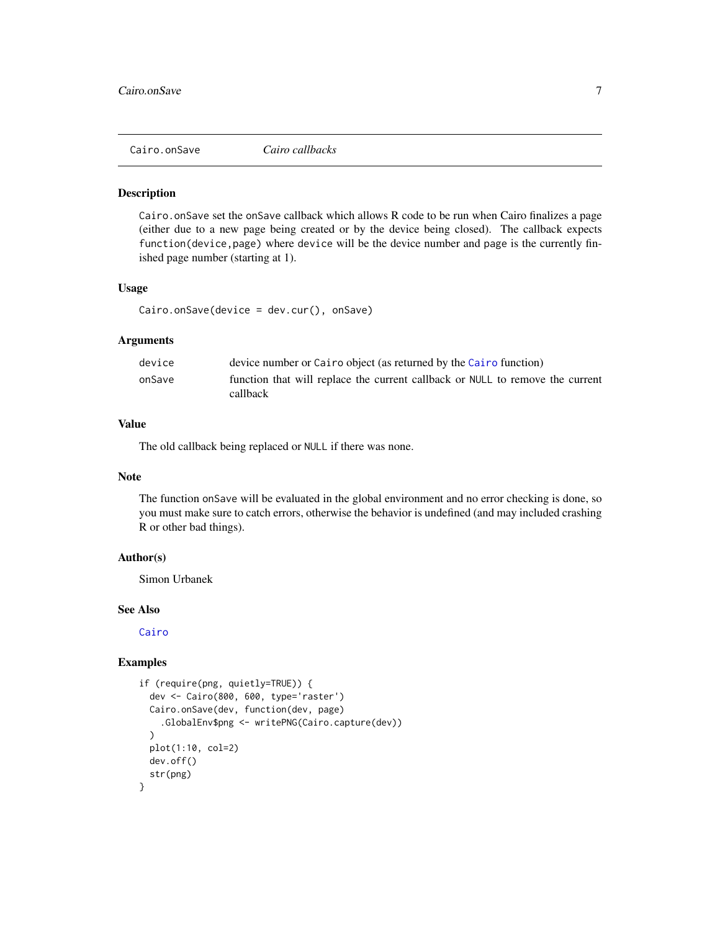<span id="page-6-0"></span>

#### Description

Cairo.onSave set the onSave callback which allows R code to be run when Cairo finalizes a page (either due to a new page being created or by the device being closed). The callback expects function(device,page) where device will be the device number and page is the currently finished page number (starting at 1).

#### Usage

Cairo.onSave(device = dev.cur(), onSave)

#### Arguments

| device | device number or Cairo object (as returned by the Cairo function)                         |
|--------|-------------------------------------------------------------------------------------------|
| onSave | function that will replace the current callback or NULL to remove the current<br>callback |

#### Value

The old callback being replaced or NULL if there was none.

#### Note

The function onSave will be evaluated in the global environment and no error checking is done, so you must make sure to catch errors, otherwise the behavior is undefined (and may included crashing R or other bad things).

#### Author(s)

Simon Urbanek

#### See Also

[Cairo](#page-1-1)

#### Examples

```
if (require(png, quietly=TRUE)) {
 dev <- Cairo(800, 600, type='raster')
 Cairo.onSave(dev, function(dev, page)
    .GlobalEnv$png <- writePNG(Cairo.capture(dev))
 )
 plot(1:10, col=2)
 dev.off()
 str(png)
}
```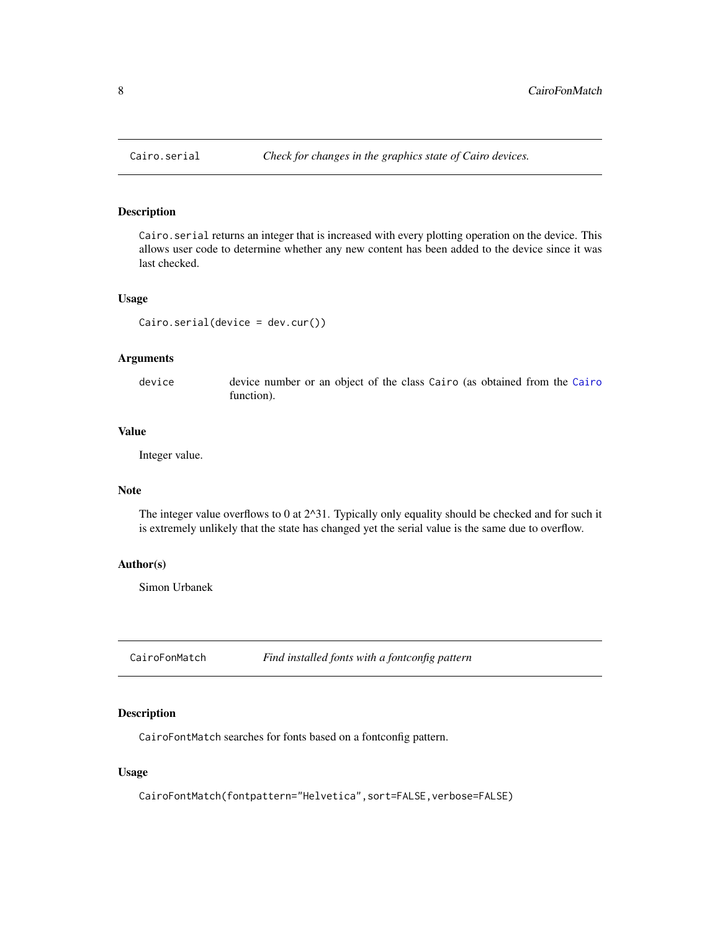<span id="page-7-0"></span>

#### Description

Cairo.serial returns an integer that is increased with every plotting operation on the device. This allows user code to determine whether any new content has been added to the device since it was last checked.

#### Usage

```
Cairo.serial(device = dev.cur())
```
#### Arguments

device device number or an object of the class Cairo (as obtained from the [Cairo](#page-1-1) function).

#### Value

Integer value.

#### Note

The integer value overflows to 0 at  $2^{\wedge}31$ . Typically only equality should be checked and for such it is extremely unlikely that the state has changed yet the serial value is the same due to overflow.

#### Author(s)

Simon Urbanek

CairoFonMatch *Find installed fonts with a fontconfig pattern*

#### <span id="page-7-1"></span>Description

CairoFontMatch searches for fonts based on a fontconfig pattern.

#### Usage

CairoFontMatch(fontpattern="Helvetica",sort=FALSE,verbose=FALSE)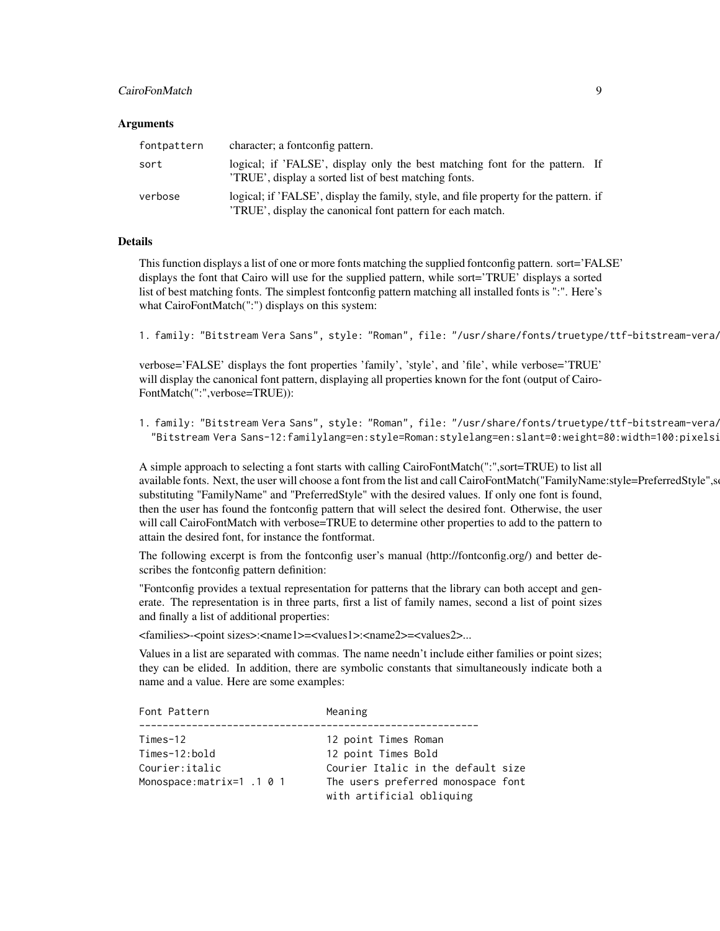#### CairoFonMatch 9

#### Arguments

| fontpattern | character; a fontconfig pattern.                                                                                                                   |  |
|-------------|----------------------------------------------------------------------------------------------------------------------------------------------------|--|
| sort        | logical; if 'FALSE', display only the best matching font for the pattern. If<br>'TRUE', display a sorted list of best matching fonts.              |  |
| verbose     | logical; if 'FALSE', display the family, style, and file property for the pattern. if<br>TRUE', display the canonical font pattern for each match. |  |

#### Details

This function displays a list of one or more fonts matching the supplied fontconfig pattern. sort='FALSE' displays the font that Cairo will use for the supplied pattern, while sort='TRUE' displays a sorted list of best matching fonts. The simplest fontconfig pattern matching all installed fonts is ":". Here's what CairoFontMatch(":") displays on this system:

1. family: "Bitstream Vera Sans", style: "Roman", file: "/usr/share/fonts/truetype/ttf-bitstream-vera/

verbose='FALSE' displays the font properties 'family', 'style', and 'file', while verbose='TRUE' will display the canonical font pattern, displaying all properties known for the font (output of Cairo-FontMatch(":",verbose=TRUE)):

1. family: "Bitstream Vera Sans", style: "Roman", file: "/usr/share/fonts/truetype/ttf-bitstream-vera/ "Bitstream Vera Sans-12:familylang=en:style=Roman:stylelang=en:slant=0:weight=80:width=100:pixelsi

A simple approach to selecting a font starts with calling CairoFontMatch(":",sort=TRUE) to list all available fonts. Next, the user will choose a font from the list and call CairoFontMatch("FamilyName:style=PreferredStyle",so substituting "FamilyName" and "PreferredStyle" with the desired values. If only one font is found, then the user has found the fontconfig pattern that will select the desired font. Otherwise, the user will call CairoFontMatch with verbose=TRUE to determine other properties to add to the pattern to attain the desired font, for instance the fontformat.

The following excerpt is from the fontconfig user's manual (http://fontconfig.org/) and better describes the fontconfig pattern definition:

"Fontconfig provides a textual representation for patterns that the library can both accept and generate. The representation is in three parts, first a list of family names, second a list of point sizes and finally a list of additional properties:

<families>-<point sizes>:<name1>=<values1>:<name2>=<values2>...

Values in a list are separated with commas. The name needn't include either families or point sizes; they can be elided. In addition, there are symbolic constants that simultaneously indicate both a name and a value. Here are some examples:

| Font Pattern                                                             | Meaning                                                                                                                                              |
|--------------------------------------------------------------------------|------------------------------------------------------------------------------------------------------------------------------------------------------|
| Times-12<br>Times-12:bold<br>Courier:italic<br>Monospace:matrix=1 .1 0 1 | 12 point Times Roman<br>12 point Times Bold<br>Courier Italic in the default size<br>The users preferred monospace font<br>with artificial obliquing |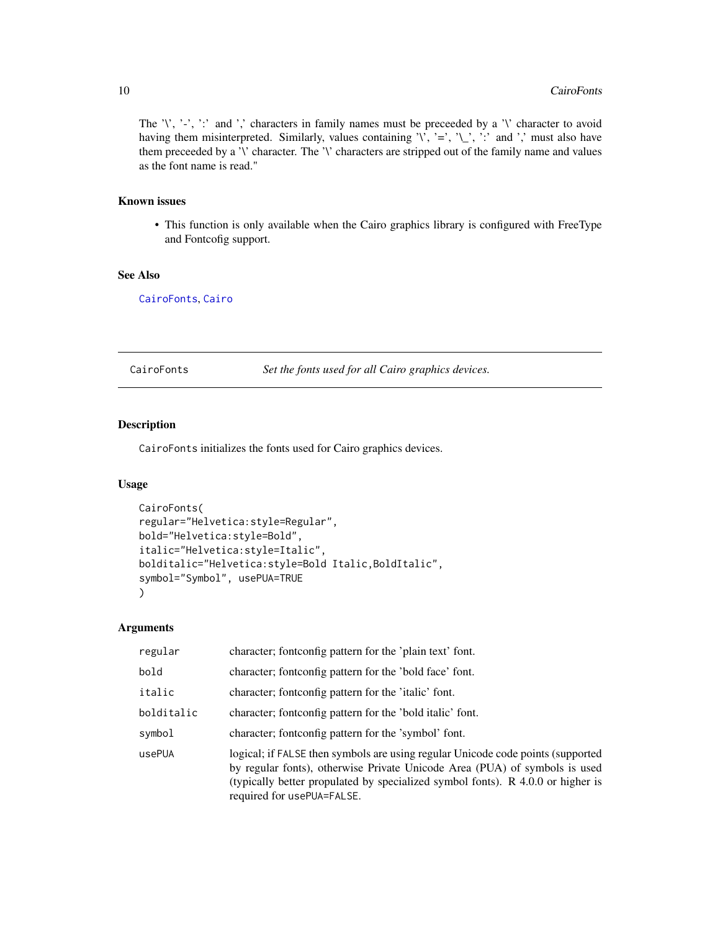The '\', '-', ':' and ',' characters in family names must be preceeded by a '\' character to avoid having them misinterpreted. Similarly, values containing  $\langle \cdot, \cdot \rangle = \langle \cdot, \cdot \rangle$  and  $\langle \cdot \rangle$  must also have them preceeded by a '\' character. The '\' characters are stripped out of the family name and values as the font name is read."

#### Known issues

• This function is only available when the Cairo graphics library is configured with FreeType and Fontcofig support.

#### See Also

[CairoFonts](#page-9-1), [Cairo](#page-1-1)

<span id="page-9-1"></span>CairoFonts *Set the fonts used for all Cairo graphics devices.*

#### Description

CairoFonts initializes the fonts used for Cairo graphics devices.

#### Usage

```
CairoFonts(
regular="Helvetica:style=Regular",
bold="Helvetica:style=Bold",
italic="Helvetica:style=Italic",
bolditalic="Helvetica:style=Bold Italic,BoldItalic",
symbol="Symbol", usePUA=TRUE
\mathcal{L}
```
#### Arguments

| regular    | character; fontconfig pattern for the 'plain text' font.                                                                                                                                                                                                                       |
|------------|--------------------------------------------------------------------------------------------------------------------------------------------------------------------------------------------------------------------------------------------------------------------------------|
| bold       | character; fontconfig pattern for the 'bold face' font.                                                                                                                                                                                                                        |
| italic     | character; fontconfig pattern for the 'italic' font.                                                                                                                                                                                                                           |
| bolditalic | character; fontconfig pattern for the 'bold italic' font.                                                                                                                                                                                                                      |
| symbol     | character; fontconfig pattern for the 'symbol' font.                                                                                                                                                                                                                           |
| usePUA     | logical; if FALSE then symbols are using regular Unicode code points (supported<br>by regular fonts), otherwise Private Unicode Area (PUA) of symbols is used<br>(typically better propulated by specialized symbol fonts). R 4.0.0 or higher is<br>required for usePUA=FALSE. |

<span id="page-9-0"></span>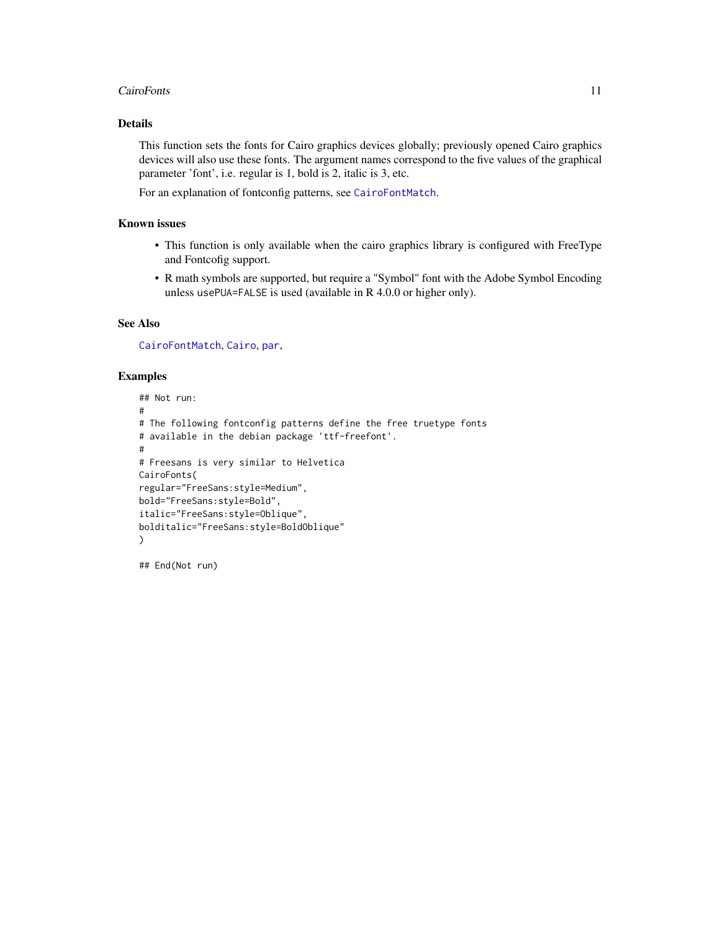#### <span id="page-10-0"></span>CairoFonts 11

#### Details

This function sets the fonts for Cairo graphics devices globally; previously opened Cairo graphics devices will also use these fonts. The argument names correspond to the five values of the graphical parameter 'font', i.e. regular is 1, bold is 2, italic is 3, etc.

For an explanation of fontconfig patterns, see [CairoFontMatch](#page-7-1).

#### Known issues

- This function is only available when the cairo graphics library is configured with FreeType and Fontcofig support.
- R math symbols are supported, but require a "Symbol" font with the Adobe Symbol Encoding unless usePUA=FALSE is used (available in R 4.0.0 or higher only).

#### See Also

[CairoFontMatch](#page-7-1), [Cairo](#page-1-1), [par](#page-0-0),

#### Examples

```
## Not run:
#
# The following fontconfig patterns define the free truetype fonts
# available in the debian package 'ttf-freefont'.
#
# Freesans is very similar to Helvetica
CairoFonts(
regular="FreeSans:style=Medium",
bold="FreeSans:style=Bold",
italic="FreeSans:style=Oblique",
bolditalic="FreeSans:style=BoldOblique"
)
```
## End(Not run)